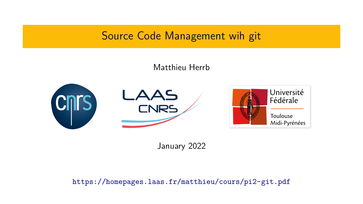# Source Code Management wih git

### Matthieu Herrb



January 2022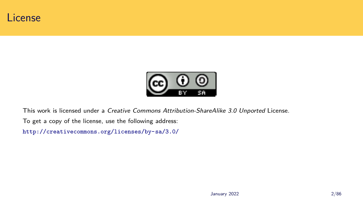# License



This work is licensed under a *Creative Commons Attribution-ShareAlike 3.0 Unported* License. To get a copy of the license, use the following address: http://creativecommons.org/licenses/by-sa/3.0/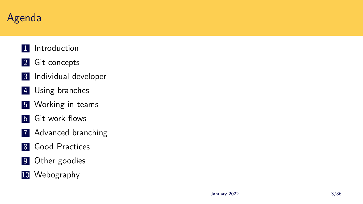# Agenda

- 1 Introduction
- 2 Git concepts
- 3 Individual developer
- 4 Using branches
- **5** Working in teams
- 6 Git work flows
- 7 Advanced branching
- 8 Good Practices
- 9 Other goodies
- 10 Webography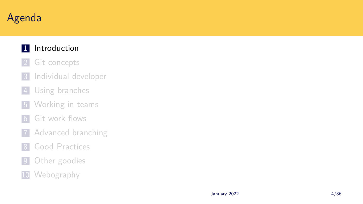# Agenda

### 1 Introduction

- 2 Git concepts
- 3 Individual developer
- 4 Using branches
- **5** Working in teams
- 6 Git work flows
- 7 Advanced branching
- 8 Good Practices
- 9 Other goodies
- 10 Webography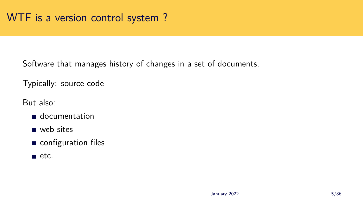Software that manages history of changes in a set of documents.

Typically: source code

But also:

- documentation
- web sites
- configuration files
- $\blacksquare$  etc.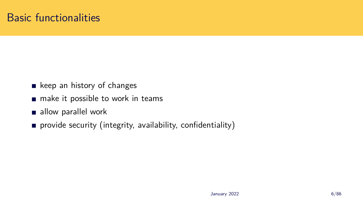## Basic functionalities

- $\blacksquare$  keep an history of changes
- make it possible to work in teams
- allow parallel work
- provide security (integrity, availability, confidentiality)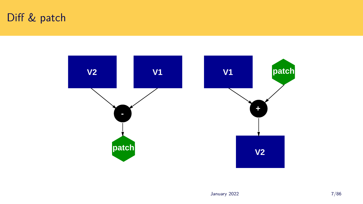## Diff & patch

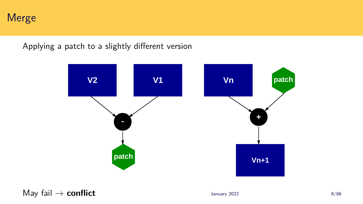Merge

Applying a patch to a slightly different version



May fail  $\rightarrow$  **conflict**  $\frac{8}{86}$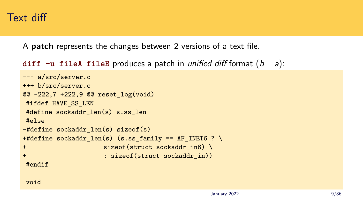### Text diff

A **patch** represents the changes between 2 versions of a text file.

```
diff -u fileA fileB produces a patch in unified diff format (b − a):
```

```
--- a/src/server.c
+++ b/src/server.c
@@ -222,7 +222,9 @@ reset_log(void)
#ifdef HAVE SS LEN
#define sockaddr_len(s) s.ss_len
#else
-#define sockaddr len(s) sizeof(s)
+#define sockaddr_len(s) (s.ss_family == AF_INET6 ? \
+ sizeof(struct sockaddr_in6) \
+ : sizeof(struct sockaddr_in))
#endif
```
void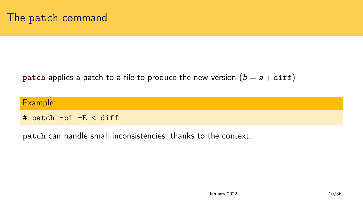#### **patch** applies a patch to a file to produce the new version  $(b = a + diff)$

| Example:                |  |  |
|-------------------------|--|--|
| # patch $-p1$ -E < diff |  |  |

patch can handle small inconsistencies, thanks to the context.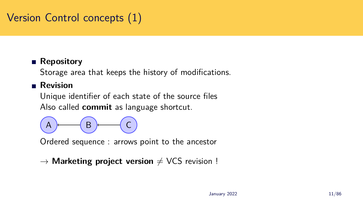## Version Control concepts (1)

#### **Repository**

Storage area that keeps the history of modifications.

#### **Revision**

Unique identifier of each state of the source files Also called **commit** as language shortcut.



Ordered sequence : arrows point to the ancestor

```
→ Marketing project version \neq VCS revision !
```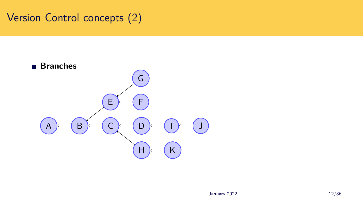## Version Control concepts (2)

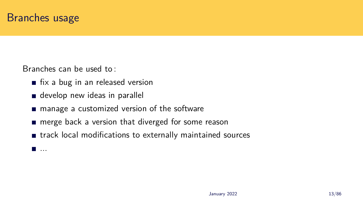Branches can be used to :

- $\blacksquare$  fix a bug in an released version
- develop new ideas in parallel
- manage a customized version of the software
- merge back a version that diverged for some reason
- $\blacksquare$  track local modifications to externally maintained sources

...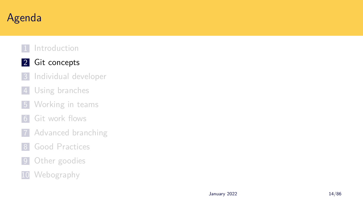# Agenda

- 1 Introduction
- 2 Git concepts
- 3 Individual developer
- 4 Using branches
- **5** Working in teams
- 6 Git work flows
- 7 Advanced branching
- 8 Good Practices
- 9 Other goodies
- 10 Webography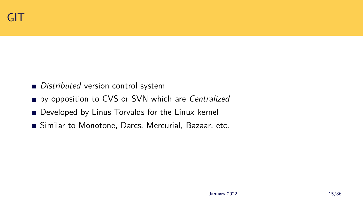- *Distributed* version control system
- by opposition to CVS or SVN which are *Centralized*
- Developed by Linus Torvalds for the Linux kernel
- Similar to Monotone, Darcs, Mercurial, Bazaar, etc.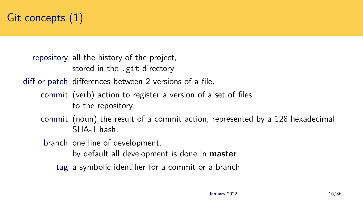

repository all the history of the project, stored in the .git directory

diff or patch differences between 2 versions of a file.

- commit (verb) action to register a version of a set of files to the repository.
- commit (noun) the result of a commit action, represented by a 128 hexadecimal SHA-1 hash.

branch one line of development.

by default all development is done in **master**.

tag a symbolic identifier for a commit or a branch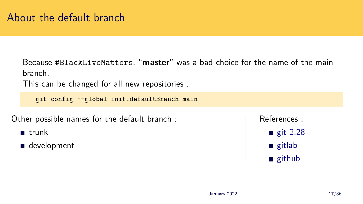## About the default branch

Because #BlackLiveMatters, "**master**" was a bad choice for the name of the main branch.

This can be changed for all new repositories :

git config --global init.defaultBranch main

Other possible names for the default branch :

- **u** trunk
- development

References :

- $\equiv$  git 2.28 gitlab
- github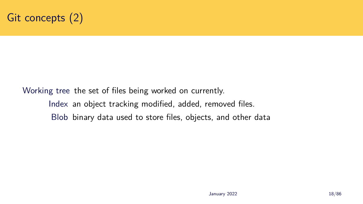

## Working tree the set of files being worked on currently. Index an object tracking modified, added, removed files. Blob binary data used to store files, objects, and other data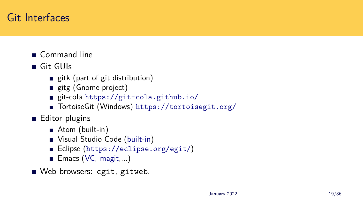## Git Interfaces

- Gommand line
- Git GUIs
	- gitk (part of git distribution)
	- gitg (Gnome project)
	- git-cola https://git-cola.github.io/
	- TortoiseGit (Windows) https://tortoisegit.org/
- **Editor plugins** 
	- Atom (built-in)
	- Visual Studio Code (built-in)
	- Eclipse (https://eclipse.org/egit/)
	- Emacs (VC, magit,...)
- Web browsers: cgit, gitweb.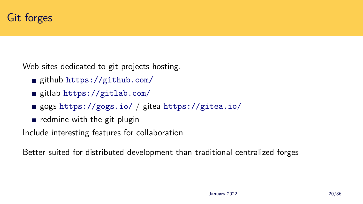## Git forges

Web sites dedicated to git projects hosting.

- github https://github.com/
- gitlab https://gitlab.com/
- gogs https://gogs.io/ / gitea https://gitea.io/
- redmine with the git plugin

Include interesting features for collaboration.

Better suited for distributed development than traditional centralized forges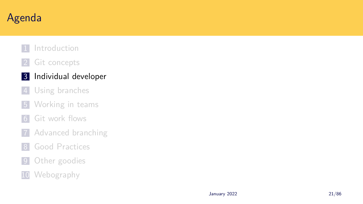# Agenda

- 1 Introduction
- 2 Git concepts
- 3 Individual developer
- 4 Using branches
- **5** Working in teams
- 6 Git work flows
- 7 Advanced branching
- 8 Good Practices
- 9 Other goodies
- 10 Webography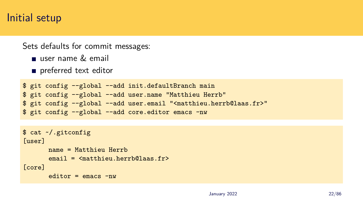### Initial setup

Sets defaults for commit messages:

- user name  $\&$  email
- preferred text editor

```
$ git config --global --add init.defaultBranch main
$ git config --global --add user.name "Matthieu Herrb"
$ git config --global --add user.email "<matthieu.herrb@laas.fr>"
$ git config --global --add core.editor emacs -nw
```

```
$ cat ~/.gitconfig
[user]
      name = Matthieu Herrb
       email = <matthieu.herrb@laas.fr>
[core]
       editor = emacs -nw
```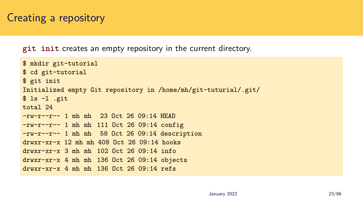## Creating a repository

**git init** creates an empty repository in the current directory.

```
$ mkdir git-tutorial
$ cd git-tutorial
$ git init
Initialized empty Git repository in /home/mh/git-tuturial/.git/
$ 1s -1 .gittotal 24
-rw-r--r-- 1 mh mh 23 Oct 26 09:14 HEAD
-rw-r--r-- 1 mh mh 111 Oct 26 09:14 config
-rw-r--r-- 1 mh mh 58 Oct 26 09:14 description
drwxr-xr-x 12 mh mh 408 Oct 26 09:14 hooks
drwxr-xr-x 3 mh mh 102 Oct 26 09:14 info
drwxr-xr-x 4 mh mh 136 Oct 26 09:14 objects
drwxr-xr-x 4 mh mh 136 Oct 26 09:14 refs
```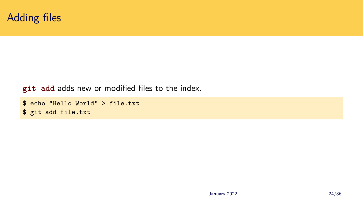

#### **git add** adds new or modified files to the index.

```
$ echo "Hello World" > file.txt
$ git add file.txt
```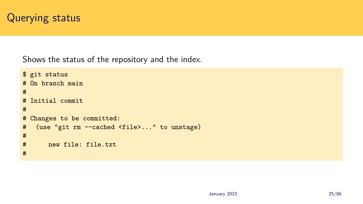

Shows the status of the repository and the index.

```
$ git status
# On branch main
#
# Initial commit
#
# Changes to be committed:
# (use "git rm --cached <file>..." to unstage)
#
# new file: file.txt
#
```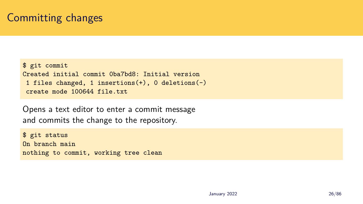## Committing changes

```
$ git commit
Created initial commit 0ba7bd8: Initial version
1 files changed, 1 insertions(+), 0 deletions(-)
create mode 100644 file.txt
```
Opens a text editor to enter a commit message and commits the change to the repository.

\$ git status On branch main nothing to commit, working tree clean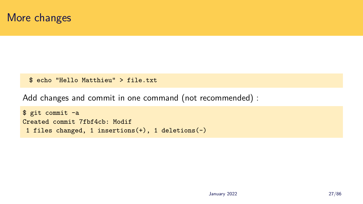

\$ echo "Hello Matthieu" > file.txt

Add changes and commit in one command (not recommended) :

```
$ git commit -a
Created commit 7fbf4cb: Modif
1 files changed, 1 insertions(+), 1 deletions(-)
```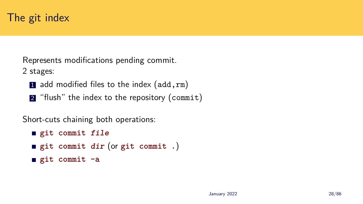Represents modifications pending commit. 2 stages:

- 1 add modified files to the index  $(add, rm)$
- 2 "flush" the index to the repository (commit)

Short-cuts chaining both operations:

```
git commit file
```
- **git commit** *dir* (or **git commit .**)
- **git commit -a**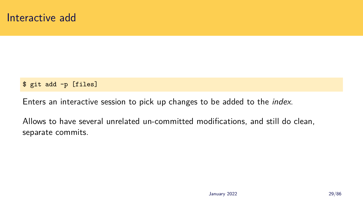#### \$ git add -p [files]

Enters an interactive session to pick up changes to be added to the *index*.

Allows to have several unrelated un-committed modifications, and still do clean, separate commits.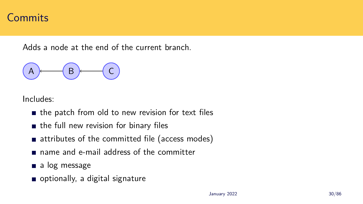### **Commits**

Adds a node at the end of the current branch.



Includes:

- $\blacksquare$  the patch from old to new revision for text files
- $\blacksquare$  the full new revision for binary files
- attributes of the committed file (access modes)
- name and e-mail address of the committer
- a log message
- optionally, a digital signature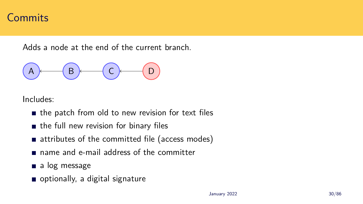### **Commits**

Adds a node at the end of the current branch.



Includes:

- $\blacksquare$  the patch from old to new revision for text files
- $\blacksquare$  the full new revision for binary files
- attributes of the committed file (access modes)
- name and e-mail address of the committer
- a log message
- optionally, a digital signature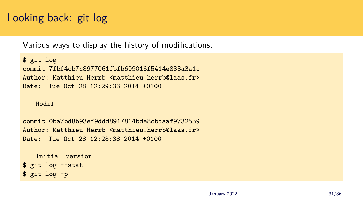## Looking back: git log

Various ways to display the history of modifications.

```
$ git log
commit 7fbf4cb7c8977061fbfb609016f5414e833a3a1c
Author: Matthieu Herrb <matthieu.herrb@laas.fr>
Date: Tue Oct 28 12:29:33 2014 +0100
```
#### Modif

commit 0ba7bd8b93ef9ddd8917814bde8cbdaaf9732559 Author: Matthieu Herrb <matthieu.herrb@laas.fr> Date: Tue Oct 28 12:28:38 2014 +0100

```
Initial version
$ git log --stat
$ git log -p
```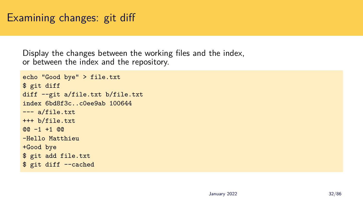## Examining changes: git diff

Display the changes between the working files and the index, or between the index and the repository.

```
echo "Good bye" > file.txt
$ git diff
diff --git a/file.txt b/file.txt
index 6bd8f3c..c0ee9ab 100644
--- a/file.txt
+++ b/file.txt
@@ -1 +1 @@-Hello Matthieu
+Good bye
$ git add file.txt
$ git diff --cached
```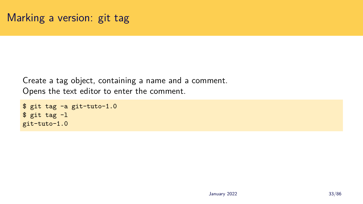Create a tag object, containing a name and a comment. Opens the text editor to enter the comment.

```
$ git tag -a git-tuto-1.0
$ git tag -l
git-tuto-1.0
```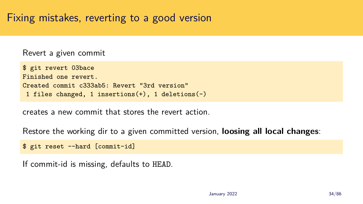## Fixing mistakes, reverting to a good version

Revert a given commit

```
$ git revert 03bace
Finished one revert.
Created commit c333ab5: Revert "3rd version"
1 files changed, 1 insertions(+), 1 deletions(-)
```
creates a new commit that stores the revert action.

Restore the working dir to a given committed version, **loosing all local changes**:

```
$ git reset --hard [commit-id]
```
If commit-id is missing, defaults to HEAD.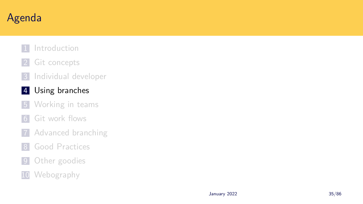# Agenda

- 1 Introduction
- 2 Git concepts
- 3 Individual developer
- 4 Using branches
- **5** Working in teams
- 6 Git work flows
- 7 Advanced branching
- 8 Good Practices
- 9 Other goodies
- 10 Webography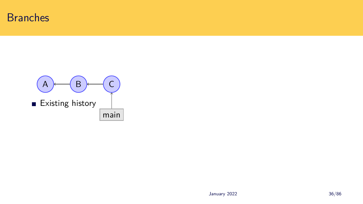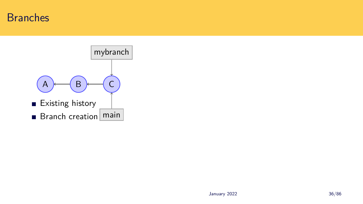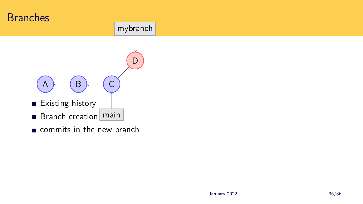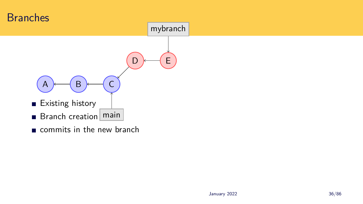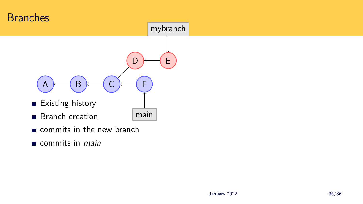

commits in *main*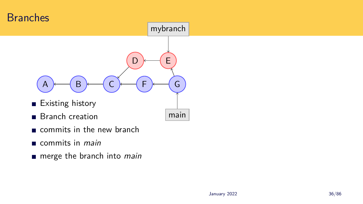

- commits in the new branch
- commits in *main*
- merge the branch into *main*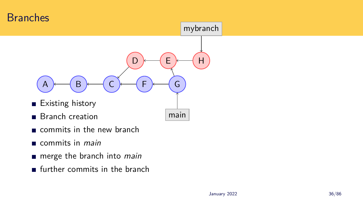

- commits in the new branch
- commits in *main*
- merge the branch into *main*
- $\blacksquare$  further commits in the branch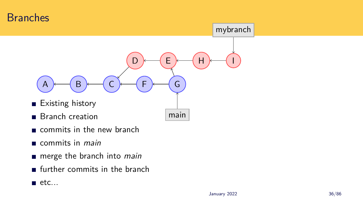

- commits in the new branch
- commits in *main*
- merge the branch into *main*
- $\blacksquare$  further commits in the branch
- $\blacksquare$  etc...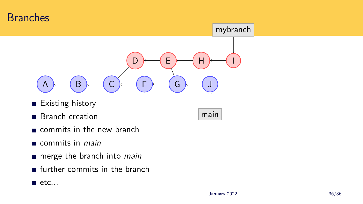

- commits in the new branch
- commits in *main*
- merge the branch into *main*
- $\blacksquare$  further commits in the branch
- $\blacksquare$  etc...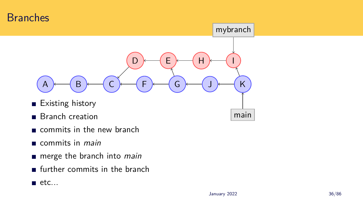

- commits in the new branch
- commits in *main*
- merge the branch into *main*
- $\blacksquare$  further commits in the branch
- $\blacksquare$  etc...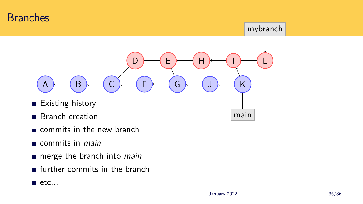

- commits in the new branch
- commits in *main*
- merge the branch into *main*
- $\blacksquare$  further commits in the branch
- $\blacksquare$  etc...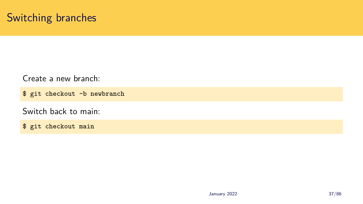### Switching branches

Create a new branch:

\$ git checkout -b newbranch

Switch back to main:

\$ git checkout main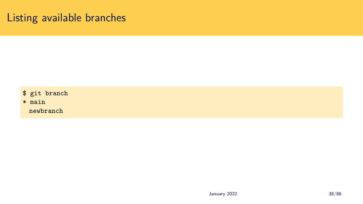### Listing available branches

\$ git branch

\* main

newbranch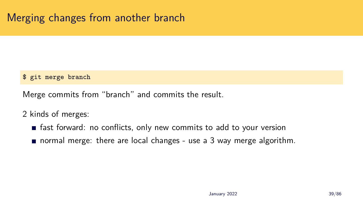## Merging changes from another branch

### \$ git merge branch

Merge commits from "branch" and commits the result.

2 kinds of merges:

- **fast forward: no conflicts, only new commits to add to your version**
- **n** normal merge: there are local changes use a 3 way merge algorithm.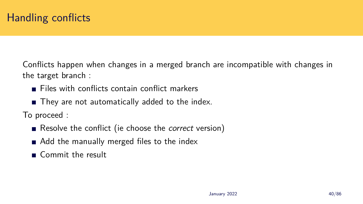Conflicts happen when changes in a merged branch are incompatible with changes in the target branch :

- $\blacksquare$  Files with conflicts contain conflict markers
- They are not automatically added to the index.

To proceed :

- Resolve the conflict (ie choose the *correct* version)
- Add the manually merged files to the index
- Commit the result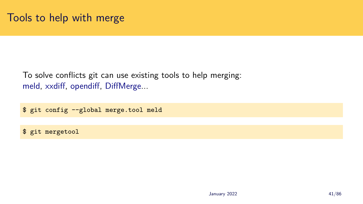# Tools to help with merge

To solve conflicts git can use existing tools to help merging: meld, xxdiff, opendiff, DiffMerge...

\$ git config --global merge.tool meld

\$ git mergetool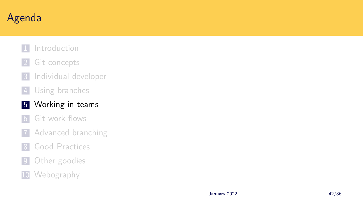# Agenda

- 1 Introduction
- 2 Git concepts
- 3 Individual developer
- 4 Using branches

### 5 Working in teams

- 6 Git work flows
- 7 Advanced branching
- 8 Good Practices
- 9 Other goodies
- 10 Webography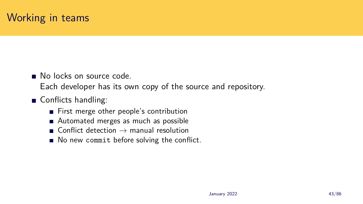### Working in teams

No locks on source code

Each developer has its own copy of the source and repository.

- Conflicts handling:
	- First merge other people's contribution
	- Automated merges as much as possible
	- Conflict detection  $\rightarrow$  manual resolution
	- No new commit before solving the conflict.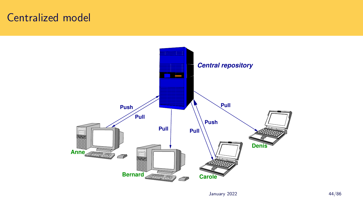### Centralized model

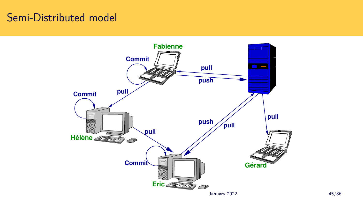### Semi-Distributed model

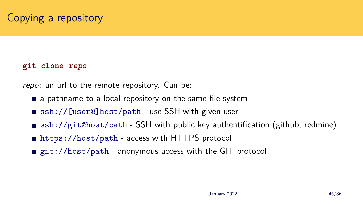# Copying a repository

### **git clone** *repo*

*repo*: an url to the remote repository. Can be:

- a pathname to a local repository on the same file-system
- ssh://[user@]host/path use SSH with given user
- ssh://git@host/path SSH with public key authentification (github, redmine)
- https://host/path access with HTTPS protocol
- git://host/path anonymous access with the GIT protocol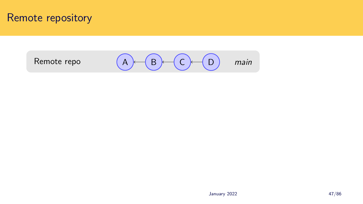### Remote repository

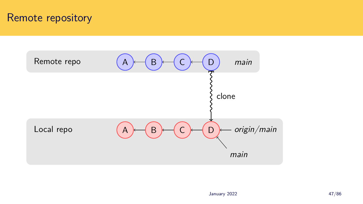### Remote repository

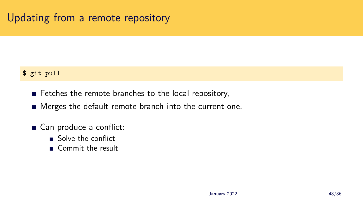## Updating from a remote repository

### \$ git pull

- Fetches the remote branches to the local repository,
- Merges the default remote branch into the current one.
- Can produce a conflict:
	- Solve the conflict
	- Commit the result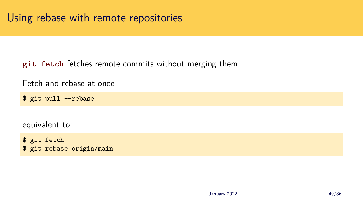**git fetch** fetches remote commits without merging them.

Fetch and rebase at once

\$ git pull --rebase

equivalent to:

\$ git fetch \$ git rebase origin/main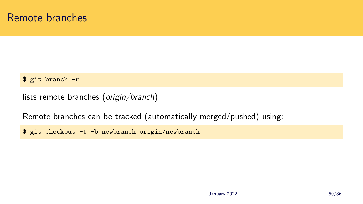### Remote branches

### \$ git branch -r

lists remote branches (*origin/branch*).

Remote branches can be tracked (automatically merged/pushed) using:

\$ git checkout -t -b newbranch origin/newbranch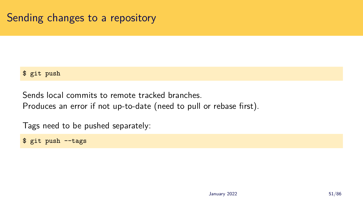### Sending changes to a repository

### \$ git push

Sends local commits to remote tracked branches. Produces an error if not up-to-date (need to pull or rebase first).

Tags need to be pushed separately:

\$ git push --tags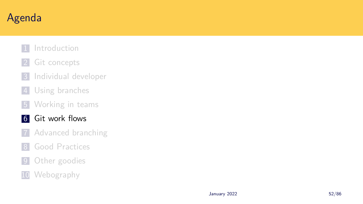# Agenda

- 1 Introduction
- 2 Git concepts
- 3 Individual developer
- 4 Using branches
- **5** Working in teams
- 6 Git work flows
- 7 Advanced branching
- 8 Good Practices
- 9 Other goodies
- 10 Webography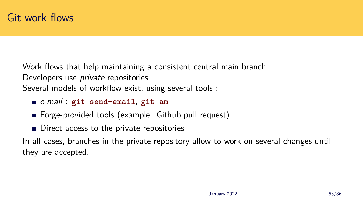Work flows that help maintaining a consistent central main branch. Developers use *private* repositories.

Several models of workflow exist, using several tools :

- *e-mail* : **git send-email**, **git am**
- **Forge-provided tools (example: Github pull request)**
- Direct access to the private repositories

In all cases, branches in the private repository allow to work on several changes until they are accepted.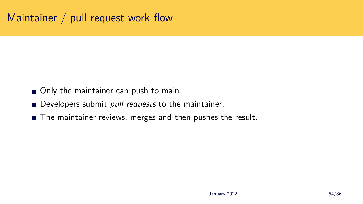## Maintainer / pull request work flow

- Only the maintainer can push to main.
- Developers submit *pull requests* to the maintainer.
- The maintainer reviews, merges and then pushes the result.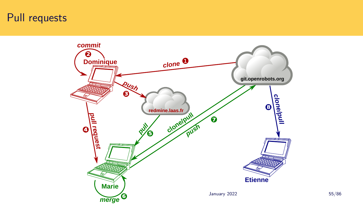### Pull requests

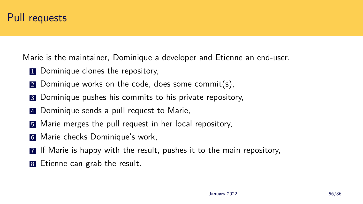Marie is the maintainer, Dominique a developer and Etienne an end-user.

- **1** Dominique clones the repository,
- 2 Dominique works on the code, does some commit(s).
- **3** Dominique pushes his commits to his private repository,
- 4 Dominique sends a pull request to Marie,
- **5** Marie merges the pull request in her local repository,
- 6 Marie checks Dominique's work,
- 7 If Marie is happy with the result, pushes it to the main repository,
- 8 Etienne can grab the result.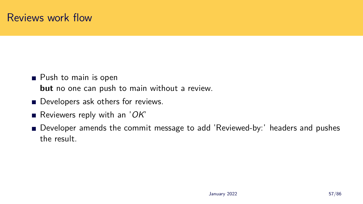### Reviews work flow

- **Push to main is open but** no one can push to main without a review.
- Developers ask others for reviews.
- Reviewers reply with an '*OK*'
- Developer amends the commit message to add 'Reviewed-by:' headers and pushes the result.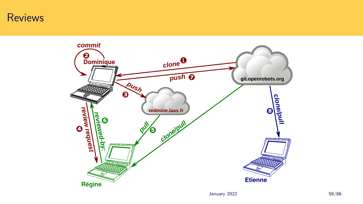### Reviews

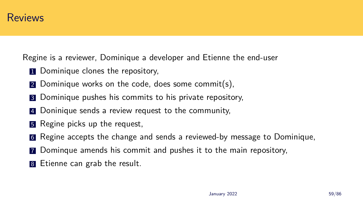

Regine is a reviewer, Dominique a developer and Etienne the end-user

- **1** Dominique clones the repository,
- 2 Dominique works on the code, does some commit(s).
- **3** Dominique pushes his commits to his private repository,
- 4 Doninique sends a review request to the community,
- **5** Regine picks up the request,
- 6 Regine accepts the change and sends a reviewed-by message to Dominique,
- 7 Dominque amends his commit and pushes it to the main repository,
- 8 Etienne can grab the result.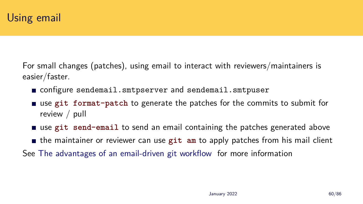## Using email

For small changes (patches), using email to interact with reviewers/maintainers is easier/faster.

- configure sendemail.smtpserver and sendemail.smtpuser
- use **git format-patch** to generate the patches for the commits to submit for review / pull
- use **git send-email** to send an email containing the patches generated above
- the maintainer or reviewer can use **git am** to apply patches from his mail client
- See The advantages of an email-driven git workflow for more information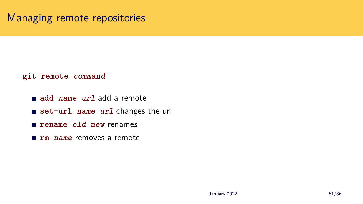#### Managing remote repositories

#### **git remote** *command*

- **add** *name url* add a remote
- **set-url** *name url* changes the url
- **rename** *old new* renames
- **rm** *name* removes a remote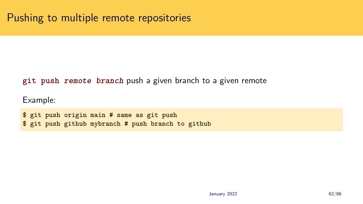#### **git push** *remote branch* push a given branch to a given remote

Example:

\$ git push origin main # same as git push \$ git push github mybranch # push branch to github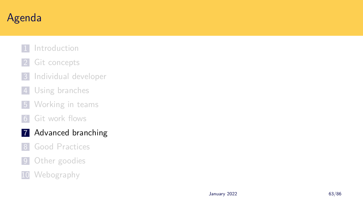# Agenda

- 1 Introduction
- 2 Git concepts
- 3 Individual developer
- 4 Using branches
- **5** Working in teams
- 6 Git work flows

#### 7 Advanced branching

- 8 Good Practices
- 9 Other goodies
- 10 Webography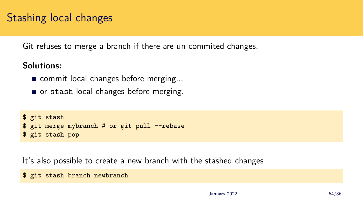### Stashing local changes

Git refuses to merge a branch if there are un-commited changes.

#### **Solutions:**

- commit local changes before merging...
- or stash local changes before merging.

```
$ git stash
$ git merge mybranch # or git pull --rebase
$ git stash pop
```
It's also possible to create a new branch with the stashed changes

```
$ git stash branch newbranch
```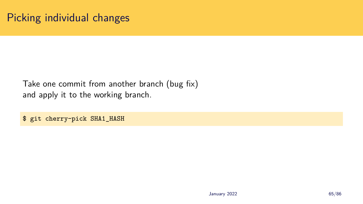### Picking individual changes

Take one commit from another branch (bug fix) and apply it to the working branch.

\$ git cherry-pick SHA1\_HASH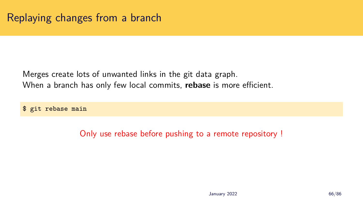Merges create lots of unwanted links in the git data graph. When a branch has only few local commits, **rebase** is more efficient.

\$ git rebase main

Only use rebase before pushing to a remote repository !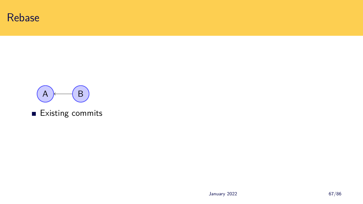



**Existing commits**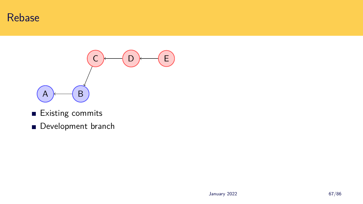



- **Existing commits**
- Development branch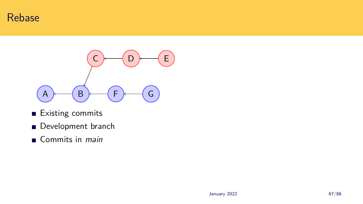



- **Existing commits**
- Development branch
- Commits in *main*

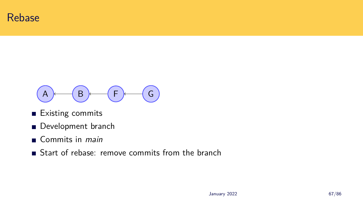



- Existing commits
- Development branch
- Commits in *main*
- Start of rebase: remove commits from the branch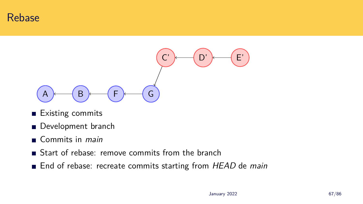#### Rebase



- Existing commits
- Development branch
- Commits in *main*
- Start of rebase: remove commits from the branch
- End of rebase: recreate commits starting from *HEAD* de *main*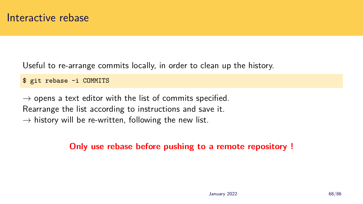Useful to re-arrange commits locally, in order to clean up the history.

\$ git rebase -i COMMITS

*→* opens a text editor with the list of commits specified. Rearrange the list according to instructions and save it. *→* history will be re-written, following the new list.

#### **Only use rebase before pushing to a remote repository !**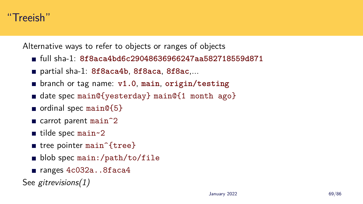

Alternative ways to refer to objects or ranges of objects

- full sha-1: **8f8aca4bd6c29048636966247aa582718559d871**
- partial sha-1: **8f8aca4b**, **8f8aca**, **8f8ac**,...
- branch or tag name: **v1.0**, **main**, **origin/testing**
- date spec main@{yesterday} main@{1 month ago}
- ordinal spec main@ ${5}$
- carrot parent main<sup>2</sup>
- $\blacksquare$  tilde spec main~2
- tree pointer main<sup>^{tree}</sup>
- $\blacksquare$  blob spec main:/path/to/file
- ranges 4c032a..8faca4

See *gitrevisions(1)*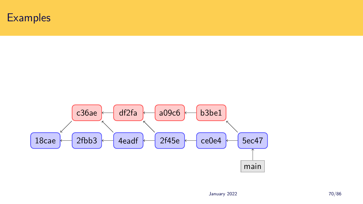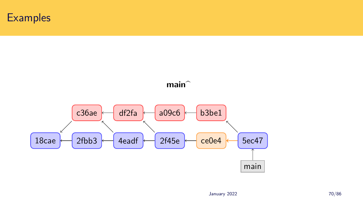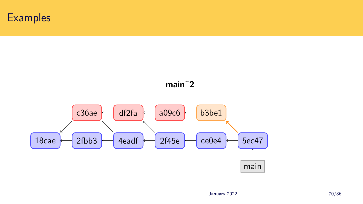

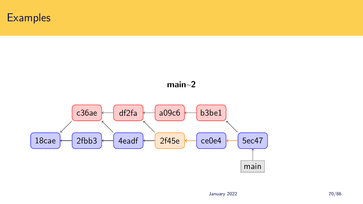

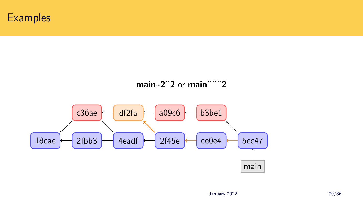



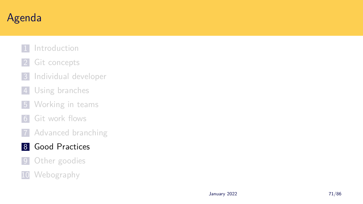# Agenda

- 1 Introduction
- 2 Git concepts
- 3 Individual developer
- 4 Using branches
- **5** Working in teams
- 6 Git work flows
- 7 Advanced branching
- 8 Good Practices
- 9 Other goodies
- 10 Webography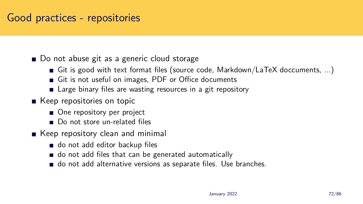### Good practices - repositories

■ Do not abuse git as a generic cloud storage

- Git is good with text format files (source code, Markdown/LaTeX doccuments, ...)
- Git is not useful on images, PDF or Office documents
- **E** Large binary files are wasting resources in a git repository
- Keep repositories on topic
	- One repository per project
	- Do not store un-related files
- Keep repository clean and minimal
	- o do not add editor backup files
	- o do not add files that can be generated automatically
	- do not add alternative versions as separate files. Use branches.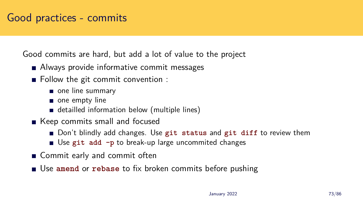#### Good practices - commits

Good commits are hard, but add a lot of value to the project

- Always provide informative commit messages
- Follow the git commit convention :
	- one line summary
	- one empty line
	- detailled information below (multiple lines)
- Keep commits small and focused
	- Don't blindly add changes. Use **git status** and **git diff** to review them
	- Use **git add -p** to break-up large uncommited changes
- Commit early and commit often
- Use **amend** or **rebase** to fix broken commits before pushing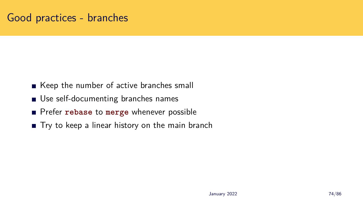#### Good practices - branches

- Keep the number of active branches small
- **Use self-documenting branches names**
- Prefer **rebase** to **merge** whenever possible
- Try to keep a linear history on the main branch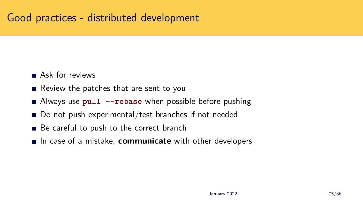### Good practices - distributed development

- Ask for reviews
- Review the patches that are sent to you
- Always use **pull --rebase** when possible before pushing
- Do not push experimental/test branches if not needed
- Be careful to push to the correct branch
- In case of a mistake, **communicate** with other developers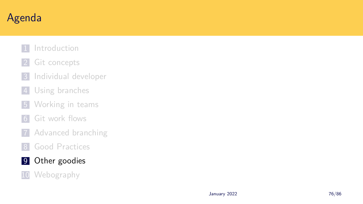# Agenda

- 1 Introduction
- 2 Git concepts
- 3 Individual developer
- 4 Using branches
- **5** Working in teams
- 6 Git work flows
- 7 Advanced branching
- 8 Good Practices
- 9 Other goodies
- 10 Webography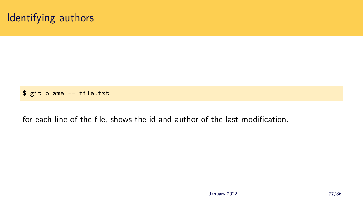#### Identifying authors

\$ git blame -- file.txt

for each line of the file, shows the id and author of the last modification.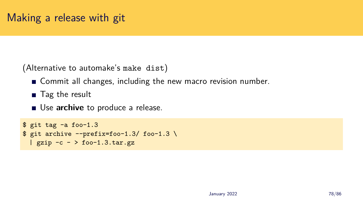(Alternative to automake's make dist)

- **EX** Commit all changes, including the new macro revision number.
- Tag the result
- **Use archive** to produce a release.

```
$ git tag -a foo-1.3
$ git archive --prefix=foo-1.3/ foo-1.3 \
 | gzip -c - > foo-1.3.tar.gz
```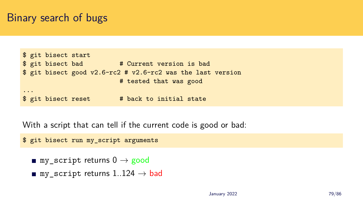#### Binary search of bugs

```
$ git bisect start
$ git bisect bad # Current version is bad
$ git bisect good v2.6-rc2 # v2.6-rc2 was the last version
                        # tested that was good
...
$ git bisect reset # back to initial state
```
With a script that can tell if the current code is good or bad:

\$ git bisect run my\_script arguments

- my script returns 0  $\rightarrow$  good
- my\_script returns 1..124 *→* bad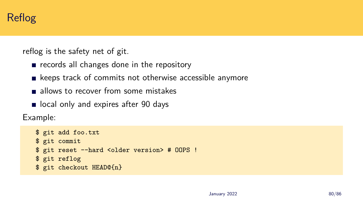### Reflog

reflog is the safety net of git.

- $\blacksquare$  records all changes done in the repository
- $\blacksquare$  keeps track of commits not otherwise accessible anymore
- allows to recover from some mistakes
- or local only and expires after 90 days

Example:

```
$ git add foo.txt
$ git commit
$ git reset --hard <older version> # OOPS !
$ git reflog
$ git checkout HEAD@{n}
```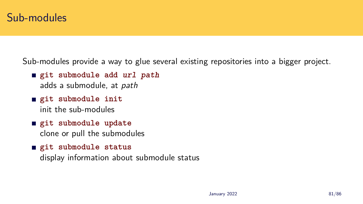Sub-modules provide a way to glue several existing repositories into a bigger project.

- **git submodule add** *url path* adds a submodule, at *path*
- **git submodule init** init the sub-modules
- **git submodule update** clone or pull the submodules
- **git submodule status**

display information about submodule status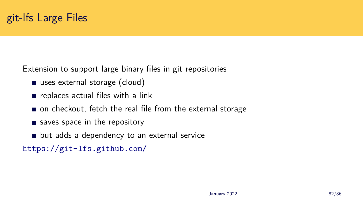## git-lfs Large Files

Extension to support large binary files in git repositories

- uses external storage (cloud)
- $\blacksquare$  replaces actual files with a link
- on checkout, fetch the real file from the external storage
- saves space in the repository
- **but adds a dependency to an external service**

https://git-lfs.github.com/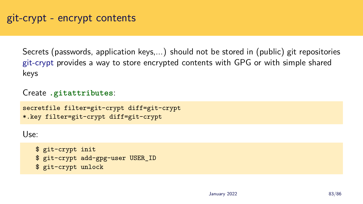#### git-crypt - encrypt contents

Secrets (passwords, application keys,...) should not be stored in (public) git repositories git-crypt provides a way to store encrypted contents with GPG or with simple shared keys

Create **.gitattributes**:

```
secretfile filter=git-crypt diff=git-crypt
*.key filter=git-crypt diff=git-crypt
```
Use:

- \$ git-crypt init
- \$ git-crypt add-gpg-user USER\_ID
- \$ git-crypt unlock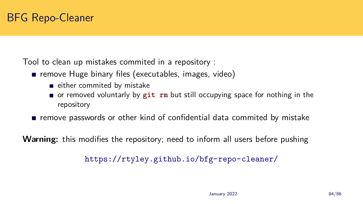## BFG Repo-Cleaner

Tool to clean up mistakes commited in a repository :

- remove Huge binary files (executables, images, video)
	- $\blacksquare$  either commited by mistake
	- or removed voluntarly by **git rm** but still occupying space for nothing in the repository
- remove passwords or other kind of confidential data commited by mistake

**Warning:** this modifies the repository; need to inform all users before pushing

https://rtyley.github.io/bfg-repo-cleaner/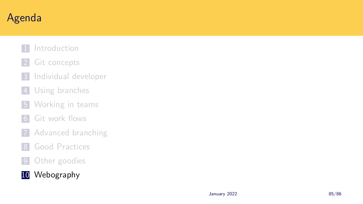# Agenda

- 1 Introduction
- 2 Git concepts
- 3 Individual developer
- 4 Using branches
- **5** Working in teams
- 6 Git work flows
- 7 Advanced branching
- 8 Good Practices
- 9 Other goodies
- 10 Webography